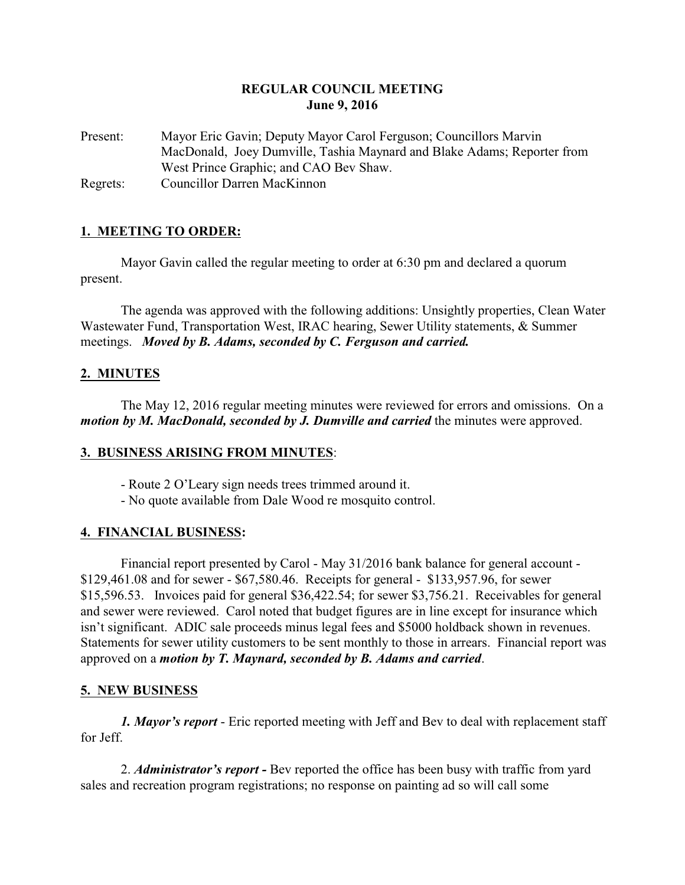## **REGULAR COUNCIL MEETING June 9, 2016**

Present: Mayor Eric Gavin; Deputy Mayor Carol Ferguson; Councillors Marvin MacDonald, Joey Dumville, Tashia Maynard and Blake Adams; Reporter from West Prince Graphic; and CAO Bev Shaw. Regrets: Councillor Darren MacKinnon

## **1. MEETING TO ORDER:**

Mayor Gavin called the regular meeting to order at 6:30 pm and declared a quorum present.

The agenda was approved with the following additions: Unsightly properties, Clean Water Wastewater Fund, Transportation West, IRAC hearing, Sewer Utility statements, & Summer meetings. *Moved by B. Adams, seconded by C. Ferguson and carried.*

## **2. MINUTES**

The May 12, 2016 regular meeting minutes were reviewed for errors and omissions. On a *motion by M. MacDonald, seconded by J. Dumville and carried the minutes were approved.* 

## **3. BUSINESS ARISING FROM MINUTES**:

- Route 2 O'Leary sign needs trees trimmed around it.
- No quote available from Dale Wood re mosquito control.

## **4. FINANCIAL BUSINESS:**

Financial report presented by Carol - May 31/2016 bank balance for general account - \$129,461.08 and for sewer - \$67,580.46. Receipts for general - \$133,957.96, for sewer \$15,596.53. Invoices paid for general \$36,422.54; for sewer \$3,756.21. Receivables for general and sewer were reviewed. Carol noted that budget figures are in line except for insurance which isn't significant. ADIC sale proceeds minus legal fees and \$5000 holdback shown in revenues. Statements for sewer utility customers to be sent monthly to those in arrears. Financial report was approved on a *motion by T. Maynard, seconded by B. Adams and carried*.

## **5. NEW BUSINESS**

*1. Mayor's report* - Eric reported meeting with Jeff and Bev to deal with replacement staff for Jeff.

2. *Administrator's report -* Bev reported the office has been busy with traffic from yard sales and recreation program registrations; no response on painting ad so will call some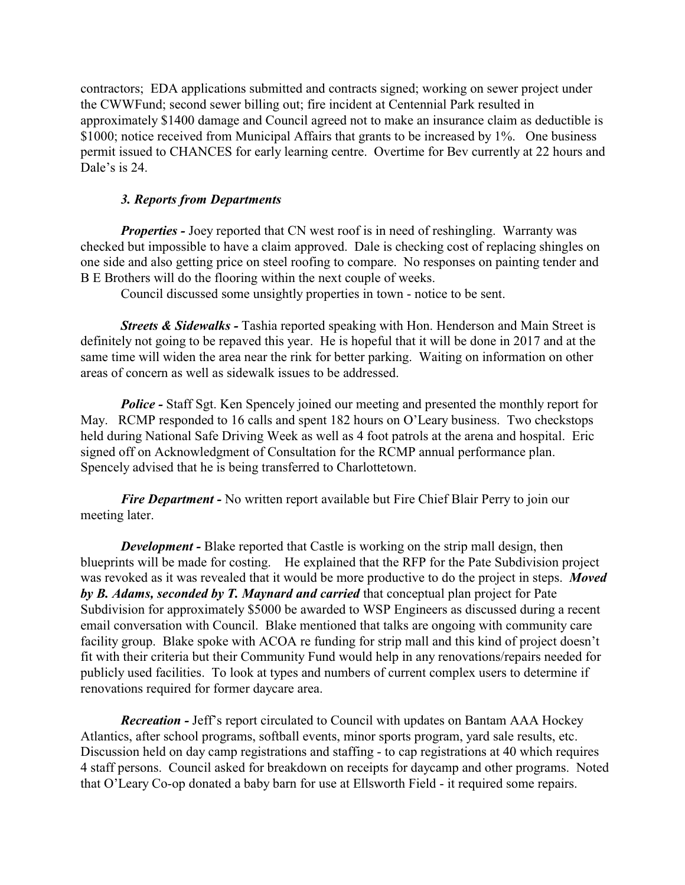contractors; EDA applications submitted and contracts signed; working on sewer project under the CWWFund; second sewer billing out; fire incident at Centennial Park resulted in approximately \$1400 damage and Council agreed not to make an insurance claim as deductible is \$1000; notice received from Municipal Affairs that grants to be increased by 1%. One business permit issued to CHANCES for early learning centre. Overtime for Bev currently at 22 hours and Dale's is 24.

#### *3. Reports from Departments*

*Properties - Joey reported that CN west roof is in need of reshingling. Warranty was* checked but impossible to have a claim approved. Dale is checking cost of replacing shingles on one side and also getting price on steel roofing to compare. No responses on painting tender and B E Brothers will do the flooring within the next couple of weeks.

Council discussed some unsightly properties in town - notice to be sent.

*Streets & Sidewalks - Tashia reported speaking with Hon. Henderson and Main Street is* definitely not going to be repaved this year. He is hopeful that it will be done in 2017 and at the same time will widen the area near the rink for better parking. Waiting on information on other areas of concern as well as sidewalk issues to be addressed.

*Police* - Staff Sgt. Ken Spencely joined our meeting and presented the monthly report for May. RCMP responded to 16 calls and spent 182 hours on O'Leary business. Two checkstops held during National Safe Driving Week as well as 4 foot patrols at the arena and hospital. Eric signed off on Acknowledgment of Consultation for the RCMP annual performance plan. Spencely advised that he is being transferred to Charlottetown.

*Fire Department -* No written report available but Fire Chief Blair Perry to join our meeting later.

*Development* - Blake reported that Castle is working on the strip mall design, then blueprints will be made for costing. He explained that the RFP for the Pate Subdivision project was revoked as it was revealed that it would be more productive to do the project in steps. *Moved by B. Adams, seconded by T. Maynard and carried* that conceptual plan project for Pate Subdivision for approximately \$5000 be awarded to WSP Engineers as discussed during a recent email conversation with Council. Blake mentioned that talks are ongoing with community care facility group. Blake spoke with ACOA re funding for strip mall and this kind of project doesn't fit with their criteria but their Community Fund would help in any renovations/repairs needed for publicly used facilities. To look at types and numbers of current complex users to determine if renovations required for former daycare area.

*Recreation -* Jeff's report circulated to Council with updates on Bantam AAA Hockey Atlantics, after school programs, softball events, minor sports program, yard sale results, etc. Discussion held on day camp registrations and staffing - to cap registrations at 40 which requires 4 staff persons. Council asked for breakdown on receipts for daycamp and other programs. Noted that O'Leary Co-op donated a baby barn for use at Ellsworth Field - it required some repairs.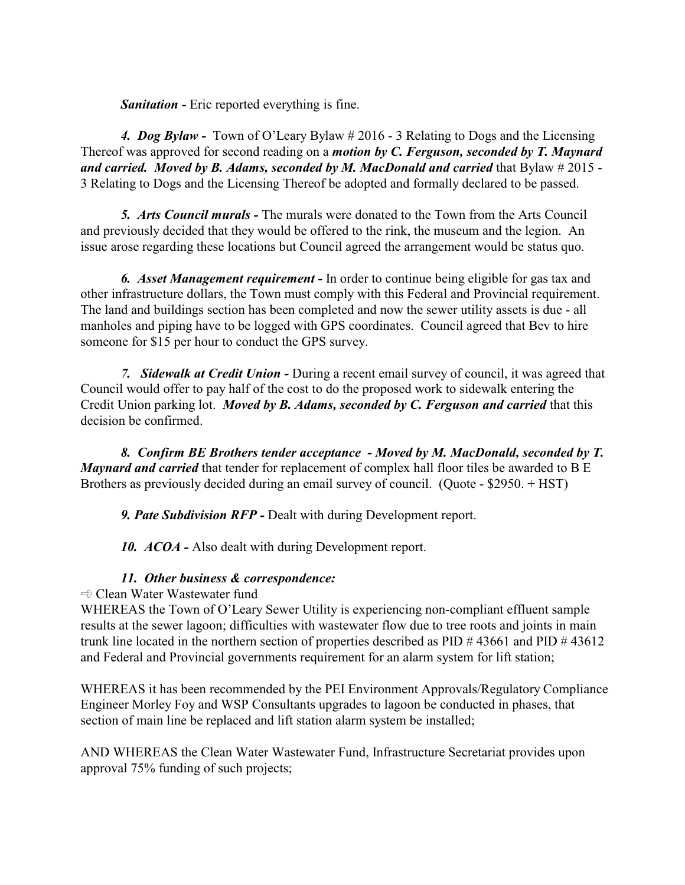*Sanitation -* Eric reported everything is fine.

*4. Dog Bylaw -* Town of O'Leary Bylaw # 2016 - 3 Relating to Dogs and the Licensing Thereof was approved for second reading on a *motion by C. Ferguson, seconded by T. Maynard and carried. Moved by B. Adams, seconded by M. MacDonald and carried* that Bylaw # 2015 - 3 Relating to Dogs and the Licensing Thereof be adopted and formally declared to be passed.

*5. Arts Council murals -* The murals were donated to the Town from the Arts Council and previously decided that they would be offered to the rink, the museum and the legion. An issue arose regarding these locations but Council agreed the arrangement would be status quo.

*6. Asset Management requirement -* In order to continue being eligible for gas tax and other infrastructure dollars, the Town must comply with this Federal and Provincial requirement. The land and buildings section has been completed and now the sewer utility assets is due - all manholes and piping have to be logged with GPS coordinates. Council agreed that Bev to hire someone for \$15 per hour to conduct the GPS survey.

*7. Sidewalk at Credit Union -* During a recent email survey of council, it was agreed that Council would offer to pay half of the cost to do the proposed work to sidewalk entering the Credit Union parking lot. *Moved by B. Adams, seconded by C. Ferguson and carried* that this decision be confirmed.

*8. Confirm BE Brothers tender acceptance - Moved by M. MacDonald, seconded by T. Maynard and carried* that tender for replacement of complex hall floor tiles be awarded to B E Brothers as previously decided during an email survey of council. (Quote - \$2950. + HST)

*9. Pate Subdivision RFP -* Dealt with during Development report.

10. *ACOA* - Also dealt with during Development report.

# *11. Other business & correspondence:*

 $\Rightarrow$  Clean Water Wastewater fund

WHEREAS the Town of O'Leary Sewer Utility is experiencing non-compliant effluent sample results at the sewer lagoon; difficulties with wastewater flow due to tree roots and joints in main trunk line located in the northern section of properties described as PID # 43661 and PID # 43612 and Federal and Provincial governments requirement for an alarm system for lift station;

WHEREAS it has been recommended by the PEI Environment Approvals/Regulatory Compliance Engineer Morley Foy and WSP Consultants upgrades to lagoon be conducted in phases, that section of main line be replaced and lift station alarm system be installed;

AND WHEREAS the Clean Water Wastewater Fund, Infrastructure Secretariat provides upon approval 75% funding of such projects;